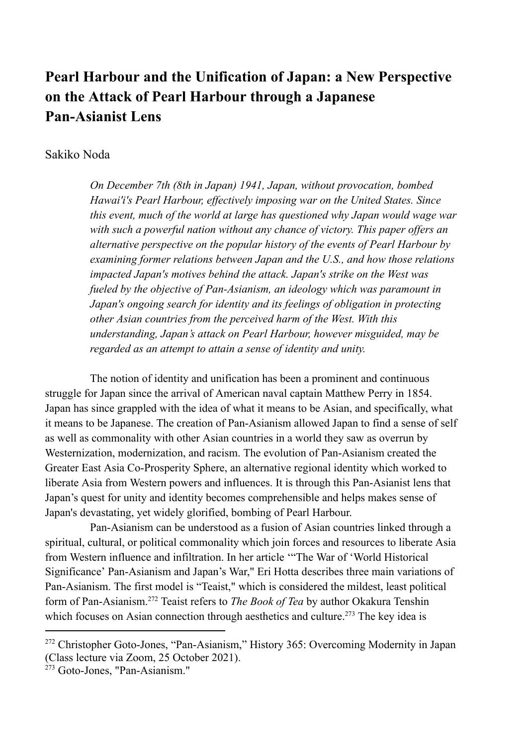## **Pearl Harbour and the Unification of Japan: a New Perspective on the Attack of Pearl Harbour through a Japanese Pan-Asianist Lens**

## Sakiko Noda

*On December 7th (8th in Japan) 1941, Japan, without provocation, bombed Hawai'i's Pearl Harbour, effectively imposing war on the United States. Since this event, much of the world at large has questioned why Japan would wage war with such a powerful nation without any chance of victory. This paper offers an alternative perspective on the popular history of the events of Pearl Harbour by examining former relations between Japan and the U.S., and how those relations impacted Japan's motives behind the attack. Japan's strike on the West was fueled by the objective of Pan-Asianism, an ideology which was paramount in Japan's ongoing search for identity and its feelings of obligation in protecting other Asian countries from the perceived harm of the West. With this understanding, Japan's attack on Pearl Harbour, however misguided, may be regarded as an attempt to attain a sense of identity and unity.*

The notion of identity and unification has been a prominent and continuous struggle for Japan since the arrival of American naval captain Matthew Perry in 1854. Japan has since grappled with the idea of what it means to be Asian, and specifically, what it means to be Japanese. The creation of Pan-Asianism allowed Japan to find a sense of self as well as commonality with other Asian countries in a world they saw as overrun by Westernization, modernization, and racism. The evolution of Pan-Asianism created the Greater East Asia Co-Prosperity Sphere, an alternative regional identity which worked to liberate Asia from Western powers and influences. It is through this Pan-Asianist lens that Japan's quest for unity and identity becomes comprehensible and helps makes sense of Japan's devastating, yet widely glorified, bombing of Pearl Harbour.

Pan-Asianism can be understood as a fusion of Asian countries linked through a spiritual, cultural, or political commonality which join forces and resources to liberate Asia from Western influence and infiltration. In her article '"The War of 'World Historical Significance' Pan-Asianism and Japan's War," Eri Hotta describes three main variations of Pan-Asianism. The first model is "Teaist," which is considered the mildest, least political form of Pan-Asianism.<sup>272</sup> Teaist refers to *The Book of Tea* by author Okakura Tenshin which focuses on Asian connection through aesthetics and culture.<sup>273</sup> The key idea is

<sup>272</sup> Christopher Goto-Jones, "Pan-Asianism," History 365: Overcoming Modernity in Japan (Class lecture via Zoom, 25 October 2021).

 $273$  Goto-Jones, "Pan-Asianism."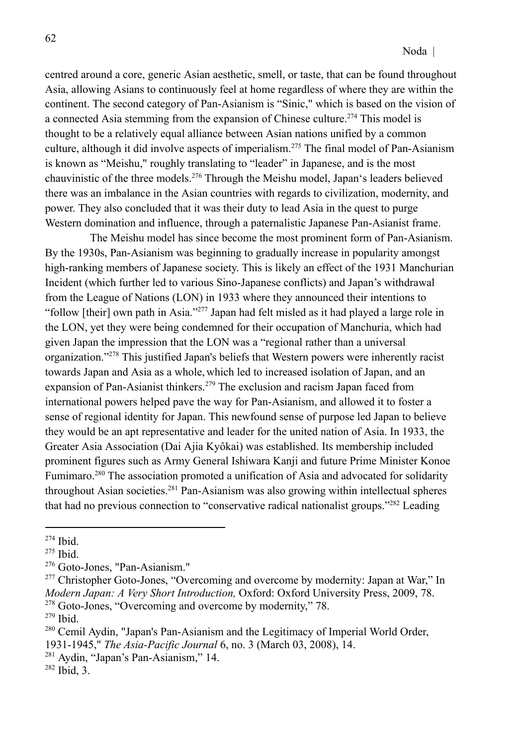centred around a core, generic Asian aesthetic, smell, or taste, that can be found throughout Asia, allowing Asians to continuously feel at home regardless of where they are within the continent. The second category of Pan-Asianism is "Sinic," which is based on the vision of a connected Asia stemming from the expansion of Chinese culture.<sup>274</sup> This model is thought to be a relatively equal alliance between Asian nations unified by a common culture, although it did involve aspects of imperialism.<sup>275</sup> The final model of Pan-Asianism is known as "Meishu," roughly translating to "leader" in Japanese, and is the most chauvinistic of the three models.<sup>276</sup> Through the Meishu model, Japan's leaders believed there was an imbalance in the Asian countries with regards to civilization, modernity, and power. They also concluded that it was their duty to lead Asia in the quest to purge Western domination and influence, through a paternalistic Japanese Pan-Asianist frame.

The Meishu model has since become the most prominent form of Pan-Asianism. By the 1930s, Pan-Asianism was beginning to gradually increase in popularity amongst high-ranking members of Japanese society. This is likely an effect of the 1931 Manchurian Incident (which further led to various Sino-Japanese conflicts) and Japan's withdrawal from the League of Nations (LON) in 1933 where they announced their intentions to "follow [their] own path in Asia."<sup>277</sup> Japan had felt misled as it had played a large role in the LON, yet they were being condemned for their occupation of Manchuria, which had given Japan the impression that the LON was a "regional rather than a universal organization."<sup>278</sup> This justified Japan's beliefs that Western powers were inherently racist towards Japan and Asia as a whole, which led to increased isolation of Japan, and an expansion of Pan-Asianist thinkers.<sup>279</sup> The exclusion and racism Japan faced from international powers helped pave the way for Pan-Asianism, and allowed it to foster a sense of regional identity for Japan. This newfound sense of purpose led Japan to believe they would be an apt representative and leader for the united nation of Asia. In 1933, the Greater Asia Association (Dai Ajia Kyôkai) was established. Its membership included prominent figures such as Army General Ishiwara Kanji and future Prime Minister Konoe Fumimaro.<sup>280</sup> The association promoted a unification of Asia and advocated for solidarity throughout Asian societies.<sup>281</sup> Pan-Asianism was also growing within intellectual spheres that had no previous connection to "conservative radical nationalist groups."<sup>282</sup> Leading

<sup>274</sup> Ibid.

<sup>275</sup> Ibid.

<sup>276</sup> Goto-Jones, "Pan-Asianism."

<sup>&</sup>lt;sup>278</sup> Goto-Jones. "Overcoming and overcome by modernity," 78. <sup>277</sup> Christopher Goto-Jones, "Overcoming and overcome by modernity: Japan at War," In *Modern Japan: A Very Short Introduction,* Oxford: Oxford University Press, 2009, 78.

<sup>279</sup> Ibid.

<sup>&</sup>lt;sup>280</sup> Cemil Aydin, "Japan's Pan-Asianism and the Legitimacy of Imperial World Order, 1931-1945," *The Asia-Pacific Journal* 6, no. 3 (March 03, 2008), 14.

<sup>281</sup> Aydin, "Japan's Pan-Asianism," 14.

 $282$  Ibid, 3.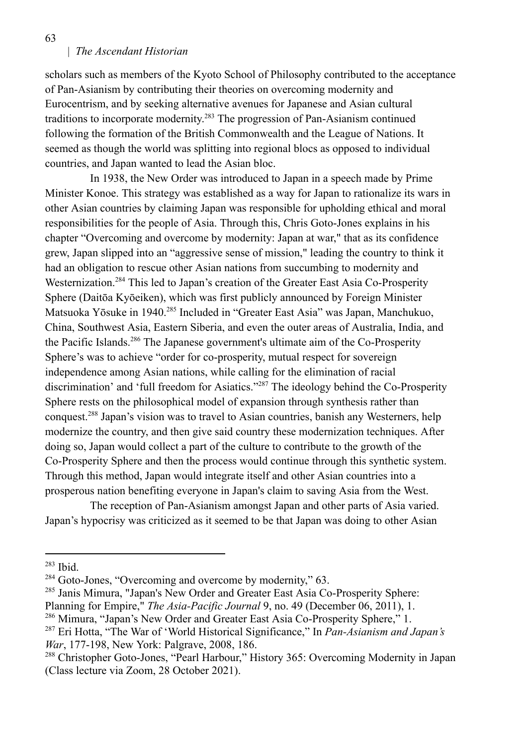scholars such as members of the Kyoto School of Philosophy contributed to the acceptance of Pan-Asianism by contributing their theories on overcoming modernity and Eurocentrism, and by seeking alternative avenues for Japanese and Asian cultural traditions to incorporate modernity. <sup>283</sup> The progression of Pan-Asianism continued following the formation of the British Commonwealth and the League of Nations. It seemed as though the world was splitting into regional blocs as opposed to individual countries, and Japan wanted to lead the Asian bloc.

In 1938, the New Order was introduced to Japan in a speech made by Prime Minister Konoe. This strategy was established as a way for Japan to rationalize its wars in other Asian countries by claiming Japan was responsible for upholding ethical and moral responsibilities for the people of Asia. Through this, Chris Goto-Jones explains in his chapter "Overcoming and overcome by modernity: Japan at war," that as its confidence grew, Japan slipped into an "aggressive sense of mission," leading the country to think it had an obligation to rescue other Asian nations from succumbing to modernity and Westernization.<sup>284</sup> This led to Japan's creation of the Greater East Asia Co-Prosperity Sphere (Daitōa Kyōeiken), which was first publicly announced by Foreign Minister Matsuoka Yōsuke in 1940.<sup>285</sup> Included in "Greater East Asia" was Japan, Manchukuo, China, Southwest Asia, Eastern Siberia, and even the outer areas of Australia, India, and the Pacific Islands.<sup>286</sup> The Japanese government's ultimate aim of the Co-Prosperity Sphere's was to achieve "order for co-prosperity, mutual respect for sovereign independence among Asian nations, while calling for the elimination of racial discrimination' and 'full freedom for Asiatics."<sup>287</sup> The ideology behind the Co-Prosperity Sphere rests on the philosophical model of expansion through synthesis rather than conquest.<sup>288</sup> Japan's vision was to travel to Asian countries, banish any Westerners, help modernize the country, and then give said country these modernization techniques. After doing so, Japan would collect a part of the culture to contribute to the growth of the Co-Prosperity Sphere and then the process would continue through this synthetic system. Through this method, Japan would integrate itself and other Asian countries into a prosperous nation benefiting everyone in Japan's claim to saving Asia from the West.

The reception of Pan-Asianism amongst Japan and other parts of Asia varied. Japan's hypocrisy was criticized as it seemed to be that Japan was doing to other Asian

<sup>285</sup> Janis Mimura, "Japan's New Order and Greater East Asia Co-Prosperity Sphere: Planning for Empire," *The Asia-Pacific Journal* 9, no. 49 (December 06, 2011), 1.

<sup>283</sup> Ibid.

<sup>&</sup>lt;sup>284</sup> Goto-Jones, "Overcoming and overcome by modernity," 63.

<sup>&</sup>lt;sup>286</sup> Mimura, "Japan's New Order and Greater East Asia Co-Prosperity Sphere," 1.

<sup>287</sup> Eri Hotta, "The War of 'World Historical Significance," In *Pan-Asianism and Japan's War*, 177-198, New York: Palgrave, 2008, 186.

<sup>288</sup> Christopher Goto-Jones, "Pearl Harbour," History 365: Overcoming Modernity in Japan (Class lecture via Zoom, 28 October 2021).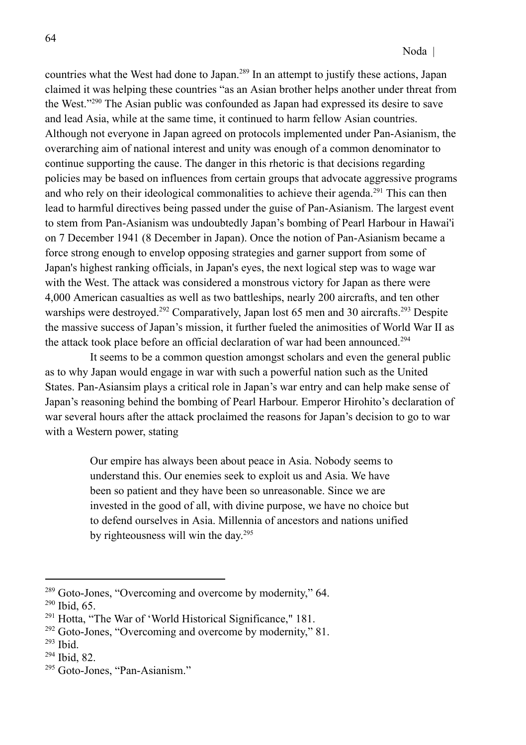countries what the West had done to Japan.<sup>289</sup> In an attempt to justify these actions, Japan claimed it was helping these countries "as an Asian brother helps another under threat from the West."<sup>290</sup> The Asian public was confounded as Japan had expressed its desire to save and lead Asia, while at the same time, it continued to harm fellow Asian countries. Although not everyone in Japan agreed on protocols implemented under Pan-Asianism, the overarching aim of national interest and unity was enough of a common denominator to continue supporting the cause. The danger in this rhetoric is that decisions regarding policies may be based on influences from certain groups that advocate aggressive programs and who rely on their ideological commonalities to achieve their agenda.<sup>291</sup> This can then lead to harmful directives being passed under the guise of Pan-Asianism. The largest event to stem from Pan-Asianism was undoubtedly Japan's bombing of Pearl Harbour in Hawai'i on 7 December 1941 (8 December in Japan). Once the notion of Pan-Asianism became a force strong enough to envelop opposing strategies and garner support from some of Japan's highest ranking officials, in Japan's eyes, the next logical step was to wage war with the West. The attack was considered a monstrous victory for Japan as there were 4,000 American casualties as well as two battleships, nearly 200 aircrafts, and ten other warships were destroyed.<sup>292</sup> Comparatively, Japan lost 65 men and 30 aircrafts.<sup>293</sup> Despite the massive success of Japan's mission, it further fueled the animosities of World War II as the attack took place before an official declaration of war had been announced.<sup>294</sup>

It seems to be a common question amongst scholars and even the general public as to why Japan would engage in war with such a powerful nation such as the United States. Pan-Asiansim plays a critical role in Japan's war entry and can help make sense of Japan's reasoning behind the bombing of Pearl Harbour. Emperor Hirohito's declaration of war several hours after the attack proclaimed the reasons for Japan's decision to go to war with a Western power, stating

> Our empire has always been about peace in Asia. Nobody seems to understand this. Our enemies seek to exploit us and Asia. We have been so patient and they have been so unreasonable. Since we are invested in the good of all, with divine purpose, we have no choice but to defend ourselves in Asia. Millennia of ancestors and nations unified by righteousness will win the day.<sup>295</sup>

<sup>&</sup>lt;sup>289</sup> Goto-Jones, "Overcoming and overcome by modernity," 64.

<sup>290</sup> Ibid, 65.

<sup>&</sup>lt;sup>291</sup> Hotta, "The War of 'World Historical Significance," 181.

 $292$  Goto-Jones, "Overcoming and overcome by modernity," 81.

<sup>293</sup> Ibid.

<sup>294</sup> Ibid, 82.

<sup>295</sup> Goto-Jones, "Pan-Asianism."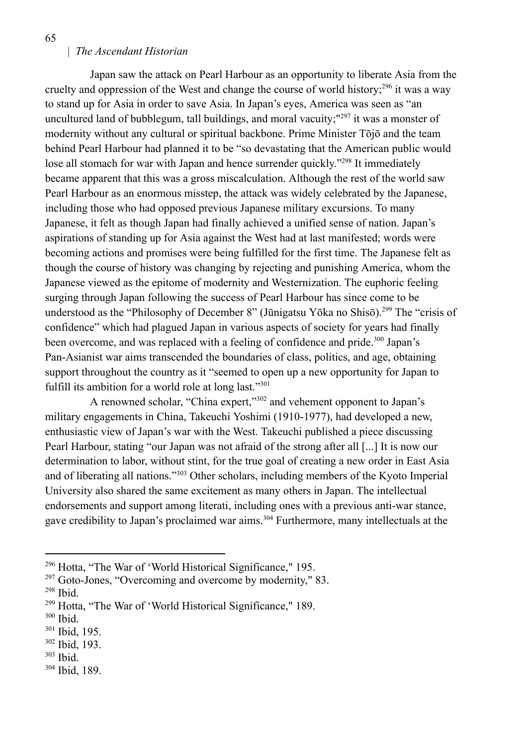## | *The Ascendant Historian*

Japan saw the attack on Pearl Harbour as an opportunity to liberate Asia from the cruelty and oppression of the West and change the course of world history;<sup>296</sup> it was a way to stand up for Asia in order to save Asia. In Japan's eyes, America was seen as "an uncultured land of bubblegum, tall buildings, and moral vacuity;<sup>"297</sup> it was a monster of modernity without any cultural or spiritual backbone. Prime Minister Tōjō and the team behind Pearl Harbour had planned it to be "so devastating that the American public would lose all stomach for war with Japan and hence surrender quickly."<sup>298</sup> It immediately became apparent that this was a gross miscalculation. Although the rest of the world saw Pearl Harbour as an enormous misstep, the attack was widely celebrated by the Japanese, including those who had opposed previous Japanese military excursions. To many Japanese, it felt as though Japan had finally achieved a unified sense of nation. Japan's aspirations of standing up for Asia against the West had at last manifested; words were becoming actions and promises were being fulfilled for the first time. The Japanese felt as though the course of history was changing by rejecting and punishing America, whom the Japanese viewed as the epitome of modernity and Westernization. The euphoric feeling surging through Japan following the success of Pearl Harbour has since come to be understood as the "Philosophy of December 8" (Jūnigatsu Yōka no Shisō).<sup>299</sup> The "crisis of confidence" which had plagued Japan in various aspects of society for years had finally been overcome, and was replaced with a feeling of confidence and pride.<sup>300</sup> Japan's Pan-Asianist war aims transcended the boundaries of class, politics, and age, obtaining support throughout the country as it "seemed to open up a new opportunity for Japan to fulfill its ambition for a world role at long last."<sup>301</sup>

A renowned scholar, "China expert,"<sup>302</sup> and vehement opponent to Japan's military engagements in China, Takeuchi Yoshimi (1910-1977), had developed a new, enthusiastic view of Japan's war with the West. Takeuchi published a piece discussing Pearl Harbour, stating "our Japan was not afraid of the strong after all [...] It is now our determination to labor, without stint, for the true goal of creating a new order in East Asia and of liberating all nations."<sup>303</sup> Other scholars, including members of the Kyoto Imperial University also shared the same excitement as many others in Japan. The intellectual endorsements and support among literati, including ones with a previous anti-war stance, gave credibility to Japan's proclaimed war aims.<sup>304</sup> Furthermore, many intellectuals at the

303 Ibid.

<sup>296</sup> Hotta, "The War of 'World Historical Significance," 195.

<sup>&</sup>lt;sup>297</sup> Goto-Jones, "Overcoming and overcome by modernity," 83.

<sup>298</sup> Ibid.

<sup>299</sup> Hotta, "The War of 'World Historical Significance," 189.

<sup>300</sup> Ibid.

<sup>301</sup> Ibid, 195.

<sup>302</sup> Ibid, 193.

<sup>304</sup> Ibid, 189.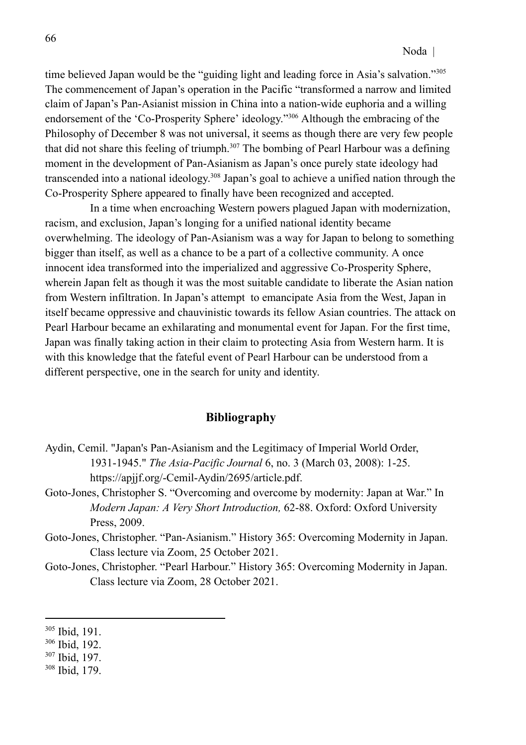time believed Japan would be the "guiding light and leading force in Asia's salvation."<sup>305</sup> The commencement of Japan's operation in the Pacific "transformed a narrow and limited claim of Japan's Pan-Asianist mission in China into a nation-wide euphoria and a willing endorsement of the 'Co-Prosperity Sphere' ideology."<sup>306</sup> Although the embracing of the Philosophy of December 8 was not universal, it seems as though there are very few people that did not share this feeling of triumph.<sup>307</sup> The bombing of Pearl Harbour was a defining moment in the development of Pan-Asianism as Japan's once purely state ideology had transcended into a national ideology. <sup>308</sup> Japan's goal to achieve a unified nation through the Co-Prosperity Sphere appeared to finally have been recognized and accepted.

In a time when encroaching Western powers plagued Japan with modernization, racism, and exclusion, Japan's longing for a unified national identity became overwhelming. The ideology of Pan-Asianism was a way for Japan to belong to something bigger than itself, as well as a chance to be a part of a collective community. A once innocent idea transformed into the imperialized and aggressive Co-Prosperity Sphere, wherein Japan felt as though it was the most suitable candidate to liberate the Asian nation from Western infiltration. In Japan's attempt to emancipate Asia from the West, Japan in itself became oppressive and chauvinistic towards its fellow Asian countries. The attack on Pearl Harbour became an exhilarating and monumental event for Japan. For the first time, Japan was finally taking action in their claim to protecting Asia from Western harm. It is with this knowledge that the fateful event of Pearl Harbour can be understood from a different perspective, one in the search for unity and identity.

## **Bibliography**

- Aydin, Cemil. "Japan's Pan-Asianism and the Legitimacy of Imperial World Order, 1931-1945." *The Asia-Pacific Journal* 6, no. 3 (March 03, 2008): 1-25. https://apjjf.org/-Cemil-Aydin/2695/article.pdf.
- Goto-Jones, Christopher S. "Overcoming and overcome by modernity: Japan at War." In *Modern Japan: A Very Short Introduction,* 62-88. Oxford: Oxford University Press, 2009.
- Goto-Jones, Christopher. "Pan-Asianism." History 365: Overcoming Modernity in Japan. Class lecture via Zoom, 25 October 2021.
- Goto-Jones, Christopher. "Pearl Harbour." History 365: Overcoming Modernity in Japan. Class lecture via Zoom, 28 October 2021.

<sup>305</sup> Ibid, 191.

<sup>306</sup> Ibid, 192.

<sup>307</sup> Ibid, 197.

<sup>308</sup> Ibid, 179.